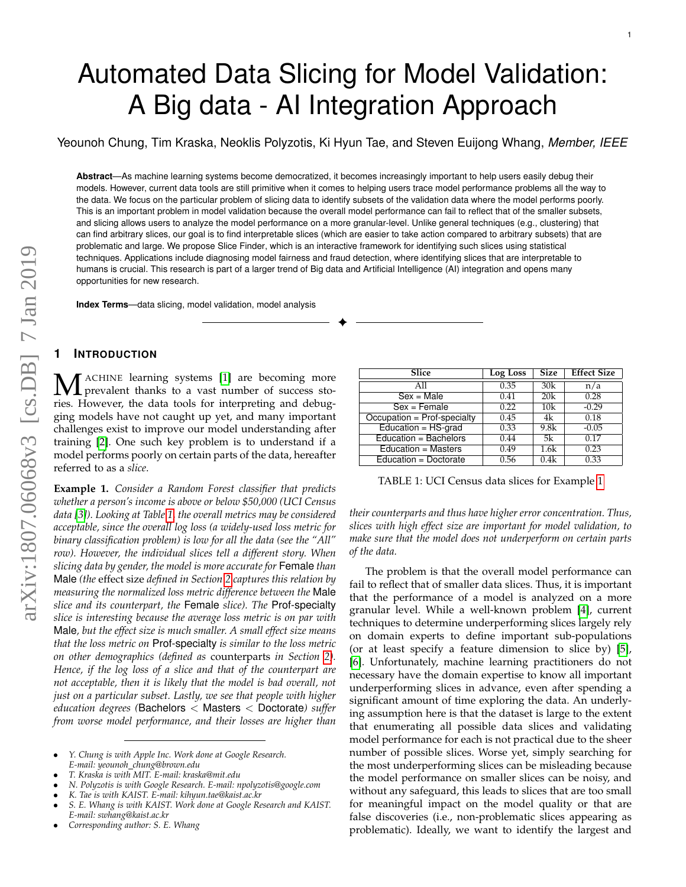# Automated Data Slicing for Model Validation: A Big data - AI Integration Approach

Yeounoh Chung, Tim Kraska, Neoklis Polyzotis, Ki Hyun Tae, and Steven Euijong Whang, *Member, IEEE*

**Abstract**—As machine learning systems become democratized, it becomes increasingly important to help users easily debug their models. However, current data tools are still primitive when it comes to helping users trace model performance problems all the way to the data. We focus on the particular problem of slicing data to identify subsets of the validation data where the model performs poorly. This is an important problem in model validation because the overall model performance can fail to reflect that of the smaller subsets, and slicing allows users to analyze the model performance on a more granular-level. Unlike general techniques (e.g., clustering) that can find arbitrary slices, our goal is to find interpretable slices (which are easier to take action compared to arbitrary subsets) that are problematic and large. We propose Slice Finder, which is an interactive framework for identifying such slices using statistical techniques. Applications include diagnosing model fairness and fraud detection, where identifying slices that are interpretable to humans is crucial. This research is part of a larger trend of Big data and Artificial Intelligence (AI) integration and opens many opportunities for new research.

✦

**Index Terms**—data slicing, model validation, model analysis

## **1 INTRODUCTION**

**M** ACHINE learning systems [\[1\]](#page-11-0) are becoming more<br>prevalent thanks to a vast number of success sto-<br>rise. However, the data tools for interpreting and debugries. However, the data tools for interpreting and debugging models have not caught up yet, and many important challenges exist to improve our model understanding after training [\[2\]](#page-11-1). One such key problem is to understand if a model performs poorly on certain parts of the data, hereafter referred to as a *slice*.

<span id="page-0-1"></span>**Example 1.** *Consider a Random Forest classifier that predicts whether a person's income is above or below \$50,000 (UCI Census data [\[3\]](#page-11-2)). Looking at Table [1,](#page-0-0) the overall metrics may be considered acceptable, since the overall log loss (a widely-used loss metric for binary classification problem) is low for all the data (see the "All" row). However, the individual slices tell a different story. When slicing data by gender, the model is more accurate for* Female *than* Male *(the* effect size *defined in Section [2](#page-1-0) captures this relation by measuring the normalized loss metric difference between the* Male *slice and its counterpart, the* Female *slice). The* Prof-specialty *slice is interesting because the average loss metric is on par with* Male*, but the effect size is much smaller. A small effect size means that the loss metric on* Prof-specialty *is similar to the loss metric on other demographics (defined as* counterparts *in Section [2\)](#page-1-0). Hence, if the log loss of a slice and that of the counterpart are not acceptable, then it is likely that the model is bad overall, not just on a particular subset. Lastly, we see that people with higher education degrees (*Bachelors < Masters < Doctorate*) suffer from worse model performance, and their losses are higher than*

- *T. Kraska is with MIT. E-mail: kraska@mit.edu*
- *N. Polyzotis is with Google Research. E-mail: npolyzotis@google.com*
- *K. Tae is with KAIST. E-mail: kihyun.tae@kaist.ac.kr*
- *S. E. Whang is with KAIST. Work done at Google Research and KAIST. E-mail: swhang@kaist.ac.kr*
- *Corresponding author: S. E. Whang*

<span id="page-0-0"></span>

| <b>Slice</b>                | Log Loss | <b>Size</b> | <b>Effect Size</b> |  |  |
|-----------------------------|----------|-------------|--------------------|--|--|
| A11                         | 0.35     | 30k         | n/a                |  |  |
| $Sex = Male$                | 0.41     | 20k         | 0.28               |  |  |
| $Sex = Female$              | 0.22     | 10k         | $-0.29$            |  |  |
| Occupation = Prof-specialty | 0.45     | 4k          | 0.18               |  |  |
| Education = $HS$ -grad      | 0.33     | 9.8k        | $-0.05$            |  |  |
| Education = Bachelors       | 0.44     | 5k          | 0.17               |  |  |
| $Education = Masters$       | 0.49     | 1.6k        | 0.23               |  |  |
| Education = Doctorate       | 0.56     | 0.4k        | 0.33               |  |  |

| TABLE 1: UCI Census data slices for Example 1 |  |  |  |
|-----------------------------------------------|--|--|--|
|-----------------------------------------------|--|--|--|

*their counterparts and thus have higher error concentration. Thus, slices with high effect size are important for model validation, to make sure that the model does not underperform on certain parts of the data.*

The problem is that the overall model performance can fail to reflect that of smaller data slices. Thus, it is important that the performance of a model is analyzed on a more granular level. While a well-known problem [\[4\]](#page-11-3), current techniques to determine underperforming slices largely rely on domain experts to define important sub-populations (or at least specify a feature dimension to slice by) [\[5\]](#page-11-4), [\[6\]](#page-11-5). Unfortunately, machine learning practitioners do not necessary have the domain expertise to know all important underperforming slices in advance, even after spending a significant amount of time exploring the data. An underlying assumption here is that the dataset is large to the extent that enumerating all possible data slices and validating model performance for each is not practical due to the sheer number of possible slices. Worse yet, simply searching for the most underperforming slices can be misleading because the model performance on smaller slices can be noisy, and without any safeguard, this leads to slices that are too small for meaningful impact on the model quality or that are false discoveries (i.e., non-problematic slices appearing as problematic). Ideally, we want to identify the largest and

<sup>•</sup> *Y. Chung is with Apple Inc. Work done at Google Research. E-mail: yeounoh chung@brown.edu*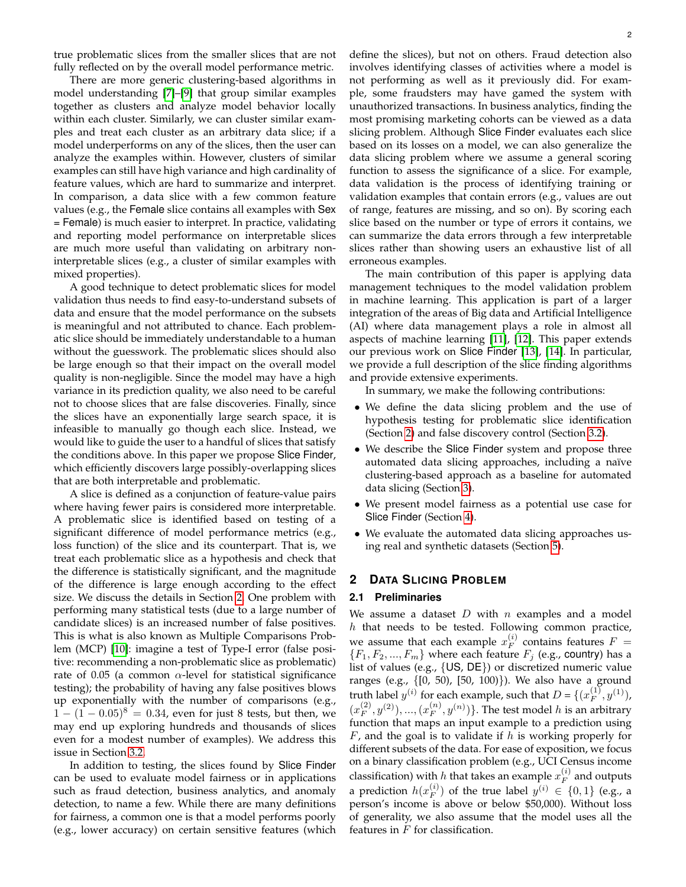true problematic slices from the smaller slices that are not fully reflected on by the overall model performance metric.

There are more generic clustering-based algorithms in model understanding [\[7\]](#page-11-6)–[\[9\]](#page-11-7) that group similar examples together as clusters and analyze model behavior locally within each cluster. Similarly, we can cluster similar examples and treat each cluster as an arbitrary data slice; if a model underperforms on any of the slices, then the user can analyze the examples within. However, clusters of similar examples can still have high variance and high cardinality of feature values, which are hard to summarize and interpret. In comparison, a data slice with a few common feature values (e.g., the Female slice contains all examples with Sex = Female) is much easier to interpret. In practice, validating and reporting model performance on interpretable slices are much more useful than validating on arbitrary noninterpretable slices (e.g., a cluster of similar examples with mixed properties).

A good technique to detect problematic slices for model validation thus needs to find easy-to-understand subsets of data and ensure that the model performance on the subsets is meaningful and not attributed to chance. Each problematic slice should be immediately understandable to a human without the guesswork. The problematic slices should also be large enough so that their impact on the overall model quality is non-negligible. Since the model may have a high variance in its prediction quality, we also need to be careful not to choose slices that are false discoveries. Finally, since the slices have an exponentially large search space, it is infeasible to manually go though each slice. Instead, we would like to guide the user to a handful of slices that satisfy the conditions above. In this paper we propose Slice Finder, which efficiently discovers large possibly-overlapping slices that are both interpretable and problematic.

A slice is defined as a conjunction of feature-value pairs where having fewer pairs is considered more interpretable. A problematic slice is identified based on testing of a significant difference of model performance metrics (e.g., loss function) of the slice and its counterpart. That is, we treat each problematic slice as a hypothesis and check that the difference is statistically significant, and the magnitude of the difference is large enough according to the effect size. We discuss the details in Section [2.](#page-1-0) One problem with performing many statistical tests (due to a large number of candidate slices) is an increased number of false positives. This is what is also known as Multiple Comparisons Problem (MCP) [\[10\]](#page-11-8): imagine a test of Type-I error (false positive: recommending a non-problematic slice as problematic) rate of 0.05 (a common  $\alpha$ -level for statistical significance testing); the probability of having any false positives blows up exponentially with the number of comparisons (e.g.,  $1 - (1 - 0.05)^8 = 0.34$ , even for just 8 tests, but then, we may end up exploring hundreds and thousands of slices even for a modest number of examples). We address this issue in Section [3.2.](#page-5-0)

In addition to testing, the slices found by Slice Finder can be used to evaluate model fairness or in applications such as fraud detection, business analytics, and anomaly detection, to name a few. While there are many definitions for fairness, a common one is that a model performs poorly (e.g., lower accuracy) on certain sensitive features (which define the slices), but not on others. Fraud detection also involves identifying classes of activities where a model is not performing as well as it previously did. For example, some fraudsters may have gamed the system with unauthorized transactions. In business analytics, finding the most promising marketing cohorts can be viewed as a data slicing problem. Although Slice Finder evaluates each slice based on its losses on a model, we can also generalize the data slicing problem where we assume a general scoring function to assess the significance of a slice. For example, data validation is the process of identifying training or validation examples that contain errors (e.g., values are out of range, features are missing, and so on). By scoring each slice based on the number or type of errors it contains, we can summarize the data errors through a few interpretable slices rather than showing users an exhaustive list of all erroneous examples.

The main contribution of this paper is applying data management techniques to the model validation problem in machine learning. This application is part of a larger integration of the areas of Big data and Artificial Intelligence (AI) where data management plays a role in almost all aspects of machine learning [\[11\]](#page-11-9), [\[12\]](#page-11-10). This paper extends our previous work on Slice Finder [\[13\]](#page-11-11), [\[14\]](#page-11-12). In particular, we provide a full description of the slice finding algorithms and provide extensive experiments.

In summary, we make the following contributions:

- We define the data slicing problem and the use of hypothesis testing for problematic slice identification (Section [2\)](#page-1-0) and false discovery control (Section [3.2\)](#page-5-0).
- We describe the Slice Finder system and propose three automated data slicing approaches, including a naïve clustering-based approach as a baseline for automated data slicing (Section [3\)](#page-3-0).
- We present model fairness as a potential use case for Slice Finder (Section [4\)](#page-6-0).
- We evaluate the automated data slicing approaches using real and synthetic datasets (Section [5\)](#page-7-0).

# <span id="page-1-0"></span>**2 DATA SLICING PROBLEM**

# **2.1 Preliminaries**

We assume a dataset  $D$  with  $n$  examples and a model  $h$  that needs to be tested. Following common practice, we assume that each example  $x_F^{(i)}$  $F \atop F$  contains features  $F =$  ${F_1, F_2, ..., F_m}$  where each feature  $F_j$  (e.g., country) has a list of values (e.g., {US, DE}) or discretized numeric value ranges (e.g., {[0, 50), [50, 100)}). We also have a ground truth label  $y^{(i)}$  for each example, such that  $D = \{(x_F^{(1)}\)$  $_{F}^{(1)},y^{(1)}$ ),  $(x_F^{(2)}$  $\binom{(2)}{F}, y^{(2)}), ..., \binom{(x_F^{(n)})}{F}$  $\{F^{(n)},y^{(n)})\}$ . The test model  $h$  is an arbitrary function that maps an input example to a prediction using  $F$ , and the goal is to validate if  $h$  is working properly for different subsets of the data. For ease of exposition, we focus on a binary classification problem (e.g., UCI Census income classification) with h that takes an example  $x_F^{(i)}$  $\int_F^{\infty}$  and outputs a prediction  $h(x_F^{(i)})$  $\binom{(i)}{F}$  of the true label  $y^{(i)} \in \{0,1\}$  (e.g., a person's income is above or below \$50,000). Without loss of generality, we also assume that the model uses all the features in  $F$  for classification.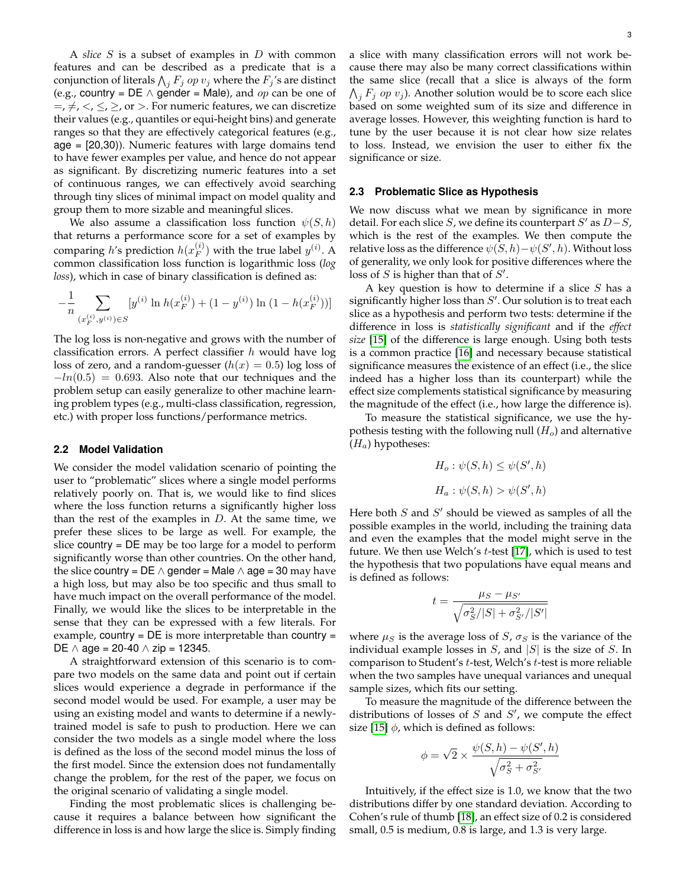A *slice* S is a subset of examples in D with common features and can be described as a predicate that is a conjunction of literals  $\bigwedge_j F_j$   $op\, v_j$  where the  $F_j$ 's are distinct (e.g., country = DE  $\land$  gender = Male), and op can be one of  $=$ ,  $\neq$ ,  $\lt$ ,  $\leq$ ,  $\geq$ , or  $>$ . For numeric features, we can discretize their values (e.g., quantiles or equi-height bins) and generate ranges so that they are effectively categorical features (e.g., age = [20,30)). Numeric features with large domains tend to have fewer examples per value, and hence do not appear as significant. By discretizing numeric features into a set of continuous ranges, we can effectively avoid searching through tiny slices of minimal impact on model quality and group them to more sizable and meaningful slices.

We also assume a classification loss function  $\psi(S, h)$ that returns a performance score for a set of examples by comparing h's prediction  $h(x_F^{(i)})$  $\binom{(i)}{F}$  with the true label  $y^{(i)}$ . A common classification loss function is logarithmic loss (*log loss*), which in case of binary classification is defined as:

$$
-\frac{1}{n}\sum_{(x_F^{(i)},y^{(i)})\in S} [y^{(i)}\ln h(x_F^{(i)}) + (1-y^{(i)})\ln (1-h(x_F^{(i)}))]
$$

The log loss is non-negative and grows with the number of classification errors. A perfect classifier  $h$  would have log loss of zero, and a random-guesser  $(h(x) = 0.5)$  log loss of  $-ln(0.5) = 0.693$ . Also note that our techniques and the problem setup can easily generalize to other machine learning problem types (e.g., multi-class classification, regression, etc.) with proper loss functions/performance metrics.

#### **2.2 Model Validation**

We consider the model validation scenario of pointing the user to "problematic" slices where a single model performs relatively poorly on. That is, we would like to find slices where the loss function returns a significantly higher loss than the rest of the examples in  $D$ . At the same time, we prefer these slices to be large as well. For example, the slice country = DE may be too large for a model to perform significantly worse than other countries. On the other hand, the slice country = DE  $\land$  gender = Male  $\land$  age = 30 may have a high loss, but may also be too specific and thus small to have much impact on the overall performance of the model. Finally, we would like the slices to be interpretable in the sense that they can be expressed with a few literals. For example, country =  $DE$  is more interpretable than country = DE  $\land$  age = 20-40  $\land$  zip = 12345.

A straightforward extension of this scenario is to compare two models on the same data and point out if certain slices would experience a degrade in performance if the second model would be used. For example, a user may be using an existing model and wants to determine if a newlytrained model is safe to push to production. Here we can consider the two models as a single model where the loss is defined as the loss of the second model minus the loss of the first model. Since the extension does not fundamentally change the problem, for the rest of the paper, we focus on the original scenario of validating a single model.

Finding the most problematic slices is challenging because it requires a balance between how significant the difference in loss is and how large the slice is. Simply finding a slice with many classification errors will not work because there may also be many correct classifications within the same slice (recall that a slice is always of the form  $\bigwedge_j F_j$  op  $v_j$ ). Another solution would be to score each slice based on some weighted sum of its size and difference in average losses. However, this weighting function is hard to tune by the user because it is not clear how size relates to loss. Instead, we envision the user to either fix the significance or size.

#### **2.3 Problematic Slice as Hypothesis**

We now discuss what we mean by significance in more detail. For each slice  $S$ , we define its counterpart  $S'$  as  $D-S$ , which is the rest of the examples. We then compute the relative loss as the difference  $\psi(\overline{S},h) - \psi(S',h).$  Without loss of generality, we only look for positive differences where the loss of S is higher than that of  $S'$ .

A key question is how to determine if a slice  $S$  has a significantly higher loss than  $S'$ . Our solution is to treat each slice as a hypothesis and perform two tests: determine if the difference in loss is *statistically significant* and if the *effect size* [\[15\]](#page-11-13) of the difference is large enough. Using both tests is a common practice [\[16\]](#page-11-14) and necessary because statistical significance measures the existence of an effect (i.e., the slice indeed has a higher loss than its counterpart) while the effect size complements statistical significance by measuring the magnitude of the effect (i.e., how large the difference is).

To measure the statistical significance, we use the hypothesis testing with the following null  $(H<sub>o</sub>)$  and alternative  $(H_a)$  hypotheses:

$$
H_o: \psi(S, h) \le \psi(S', h)
$$

$$
H_a: \psi(S, h) > \psi(S', h)
$$

Here both  $S$  and  $S'$  should be viewed as samples of all the possible examples in the world, including the training data and even the examples that the model might serve in the future. We then use Welch's t-test [\[17\]](#page-11-15), which is used to test the hypothesis that two populations have equal means and is defined as follows:

$$
t = \frac{\mu_S - \mu_{S'}}{\sqrt{\sigma_S^2/|S| + \sigma_{S'}^2/|S'|}}
$$

where  $\mu_S$  is the average loss of S,  $\sigma_S$  is the variance of the individual example losses in S, and  $|S|$  is the size of S. In comparison to Student's t-test, Welch's t-test is more reliable when the two samples have unequal variances and unequal sample sizes, which fits our setting.

To measure the magnitude of the difference between the distributions of losses of  $S$  and  $S'$ , we compute the effect size [\[15\]](#page-11-13)  $\phi$ , which is defined as follows:

$$
\phi = \sqrt{2} \times \frac{\psi(S, h) - \psi(S', h)}{\sqrt{\sigma_S^2 + \sigma_{S'}^2}}
$$

Intuitively, if the effect size is 1.0, we know that the two distributions differ by one standard deviation. According to Cohen's rule of thumb [\[18\]](#page-11-16), an effect size of 0.2 is considered small, 0.5 is medium, 0.8 is large, and 1.3 is very large.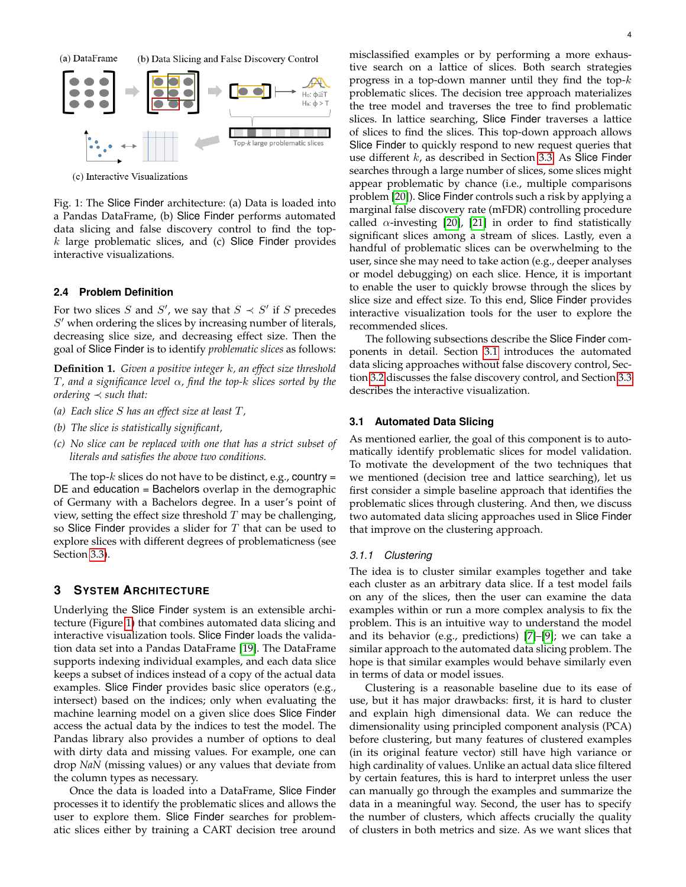<span id="page-3-1"></span>

(c) Interactive Visualizations

Fig. 1: The Slice Finder architecture: (a) Data is loaded into a Pandas DataFrame, (b) Slice Finder performs automated data slicing and false discovery control to find the top $k$  large problematic slices, and (c) Slice Finder provides interactive visualizations.

#### **2.4 Problem Definition**

For two slices S and S', we say that  $S \prec S'$  if S precedes  $S'$  when ordering the slices by increasing number of literals, decreasing slice size, and decreasing effect size. Then the goal of Slice Finder is to identify *problematic slices* as follows:

<span id="page-3-3"></span>**Definition 1.** *Given a positive integer* k*, an effect size threshold* T*, and a significance level* α*, find the top-*k *slices sorted by the ordering* ≺ *such that:*

- *(a) Each slice* S *has an effect size at least* T*,*
- *(b) The slice is statistically significant,*
- *(c) No slice can be replaced with one that has a strict subset of literals and satisfies the above two conditions.*

The top- $k$  slices do not have to be distinct, e.g., country = DE and education = Bachelors overlap in the demographic of Germany with a Bachelors degree. In a user's point of view, setting the effect size threshold  $T$  may be challenging, so Slice Finder provides a slider for  $T$  that can be used to explore slices with different degrees of problematicness (see Section [3.3\)](#page-6-1).

# <span id="page-3-0"></span>**3 SYSTEM ARCHITECTURE**

Underlying the Slice Finder system is an extensible architecture (Figure [1\)](#page-3-1) that combines automated data slicing and interactive visualization tools. Slice Finder loads the validation data set into a Pandas DataFrame [\[19\]](#page-11-17). The DataFrame supports indexing individual examples, and each data slice keeps a subset of indices instead of a copy of the actual data examples. Slice Finder provides basic slice operators (e.g., intersect) based on the indices; only when evaluating the machine learning model on a given slice does Slice Finder access the actual data by the indices to test the model. The Pandas library also provides a number of options to deal with dirty data and missing values. For example, one can drop *NaN* (missing values) or any values that deviate from the column types as necessary.

Once the data is loaded into a DataFrame, Slice Finder processes it to identify the problematic slices and allows the user to explore them. Slice Finder searches for problematic slices either by training a CART decision tree around misclassified examples or by performing a more exhaustive search on a lattice of slices. Both search strategies progress in a top-down manner until they find the top- $k$ problematic slices. The decision tree approach materializes the tree model and traverses the tree to find problematic slices. In lattice searching, Slice Finder traverses a lattice of slices to find the slices. This top-down approach allows Slice Finder to quickly respond to new request queries that use different  $k$ , as described in Section [3.3.](#page-6-1) As Slice Finder searches through a large number of slices, some slices might appear problematic by chance (i.e., multiple comparisons problem [\[20\]](#page-11-18)). Slice Finder controls such a risk by applying a marginal false discovery rate (mFDR) controlling procedure called  $\alpha$ -investing [\[20\]](#page-11-18), [\[21\]](#page-11-19) in order to find statistically significant slices among a stream of slices. Lastly, even a handful of problematic slices can be overwhelming to the user, since she may need to take action (e.g., deeper analyses or model debugging) on each slice. Hence, it is important to enable the user to quickly browse through the slices by slice size and effect size. To this end, Slice Finder provides interactive visualization tools for the user to explore the recommended slices.

The following subsections describe the Slice Finder components in detail. Section [3.1](#page-3-2) introduces the automated data slicing approaches without false discovery control, Section [3.2](#page-5-0) discusses the false discovery control, and Section [3.3](#page-6-1) describes the interactive visualization.

#### <span id="page-3-2"></span>**3.1 Automated Data Slicing**

As mentioned earlier, the goal of this component is to automatically identify problematic slices for model validation. To motivate the development of the two techniques that we mentioned (decision tree and lattice searching), let us first consider a simple baseline approach that identifies the problematic slices through clustering. And then, we discuss two automated data slicing approaches used in Slice Finder that improve on the clustering approach.

#### *3.1.1 Clustering*

The idea is to cluster similar examples together and take each cluster as an arbitrary data slice. If a test model fails on any of the slices, then the user can examine the data examples within or run a more complex analysis to fix the problem. This is an intuitive way to understand the model and its behavior (e.g., predictions) [\[7\]](#page-11-6)–[\[9\]](#page-11-7); we can take a similar approach to the automated data slicing problem. The hope is that similar examples would behave similarly even in terms of data or model issues.

Clustering is a reasonable baseline due to its ease of use, but it has major drawbacks: first, it is hard to cluster and explain high dimensional data. We can reduce the dimensionality using principled component analysis (PCA) before clustering, but many features of clustered examples (in its original feature vector) still have high variance or high cardinality of values. Unlike an actual data slice filtered by certain features, this is hard to interpret unless the user can manually go through the examples and summarize the data in a meaningful way. Second, the user has to specify the number of clusters, which affects crucially the quality of clusters in both metrics and size. As we want slices that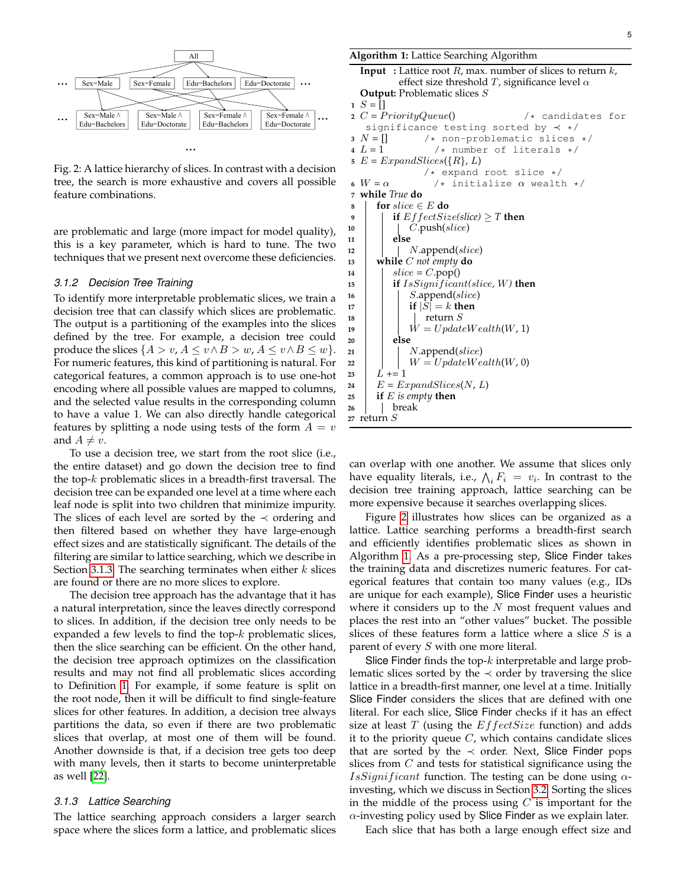<span id="page-4-1"></span>

Fig. 2: A lattice hierarchy of slices. In contrast with a decision tree, the search is more exhaustive and covers all possible feature combinations.

are problematic and large (more impact for model quality), this is a key parameter, which is hard to tune. The two techniques that we present next overcome these deficiencies.

#### *3.1.2 Decision Tree Training*

To identify more interpretable problematic slices, we train a decision tree that can classify which slices are problematic. The output is a partitioning of the examples into the slices defined by the tree. For example, a decision tree could produce the slices  $\{A > v, A \le v \land B > w, A \le v \land B \le w\}.$ For numeric features, this kind of partitioning is natural. For categorical features, a common approach is to use one-hot encoding where all possible values are mapped to columns, and the selected value results in the corresponding column to have a value 1. We can also directly handle categorical features by splitting a node using tests of the form  $A = v$ and  $A \neq v$ .

To use a decision tree, we start from the root slice (i.e., the entire dataset) and go down the decision tree to find the top- $k$  problematic slices in a breadth-first traversal. The decision tree can be expanded one level at a time where each leaf node is split into two children that minimize impurity. The slices of each level are sorted by the  $\prec$  ordering and then filtered based on whether they have large-enough effect sizes and are statistically significant. The details of the filtering are similar to lattice searching, which we describe in Section [3.1.3.](#page-4-0) The searching terminates when either  $k$  slices are found or there are no more slices to explore.

The decision tree approach has the advantage that it has a natural interpretation, since the leaves directly correspond to slices. In addition, if the decision tree only needs to be expanded a few levels to find the top- $k$  problematic slices, then the slice searching can be efficient. On the other hand, the decision tree approach optimizes on the classification results and may not find all problematic slices according to Definition [1.](#page-3-3) For example, if some feature is split on the root node, then it will be difficult to find single-feature slices for other features. In addition, a decision tree always partitions the data, so even if there are two problematic slices that overlap, at most one of them will be found. Another downside is that, if a decision tree gets too deep with many levels, then it starts to become uninterpretable as well [\[22\]](#page-11-20).

#### <span id="page-4-0"></span>*3.1.3 Lattice Searching*

The lattice searching approach considers a larger search space where the slices form a lattice, and problematic slices

#### **Algorithm 1:** Lattice Searching Algorithm

```
Input : Lattice root R, max. number of slices to return k,
         effect size threshold T, significance level \alphaOutput: Problematic slices S
1 S = []2 C = PriorityQueue() /* candidates for
   significance testing sorted by ≺ */
3 N = [] /* non-problematic slices */
4 L = 1 /* number of literals */
5 E = Exp and Slices({R}, L)/* expand root slice */
6 W = \alpha /* initialize \alpha wealth */
7 while True do
8 for slice \in E do
9 if EffectSize(slice) \geq T then
10 | | C.push(slice)
11 else
12 | | N.append(slice)
13 while C not empty do
14 \qquad slice = C.pop()15 if IsSignif icant(slice, W) then
16 | | S.append(slice)
17 if |S| = k then
18 18 return S
19 | W = UpdateWeather, 1)20 else
21 | N.append(slice)
22 | | W = UpdateWeather23 L += 124 E = Exp and Slices(N, L)25 if E is empty then
26 break
27 return S
```
<span id="page-4-2"></span>can overlap with one another. We assume that slices only have equality literals, i.e.,  $\bigwedge_i F_i = v_i$ . In contrast to the decision tree training approach, lattice searching can be more expensive because it searches overlapping slices.

Figure [2](#page-4-1) illustrates how slices can be organized as a lattice. Lattice searching performs a breadth-first search and efficiently identifies problematic slices as shown in Algorithm [1.](#page-4-2) As a pre-processing step, Slice Finder takes the training data and discretizes numeric features. For categorical features that contain too many values (e.g., IDs are unique for each example), Slice Finder uses a heuristic where it considers up to the  $N$  most frequent values and places the rest into an "other values" bucket. The possible slices of these features form a lattice where a slice  $S$  is a parent of every  $S$  with one more literal.

Slice Finder finds the top- $k$  interpretable and large problematic slices sorted by the  $\prec$  order by traversing the slice lattice in a breadth-first manner, one level at a time. Initially Slice Finder considers the slices that are defined with one literal. For each slice, Slice Finder checks if it has an effect size at least  $T$  (using the  $EffectSize$  function) and adds it to the priority queue  $C$ , which contains candidate slices that are sorted by the  $\prec$  order. Next, Slice Finder pops slices from  $C$  and tests for statistical significance using the *IsSignificant* function. The testing can be done using  $\alpha$ investing, which we discuss in Section [3.2.](#page-5-0) Sorting the slices in the middle of the process using  $C$  is important for the  $\alpha$ -investing policy used by Slice Finder as we explain later.

Each slice that has both a large enough effect size and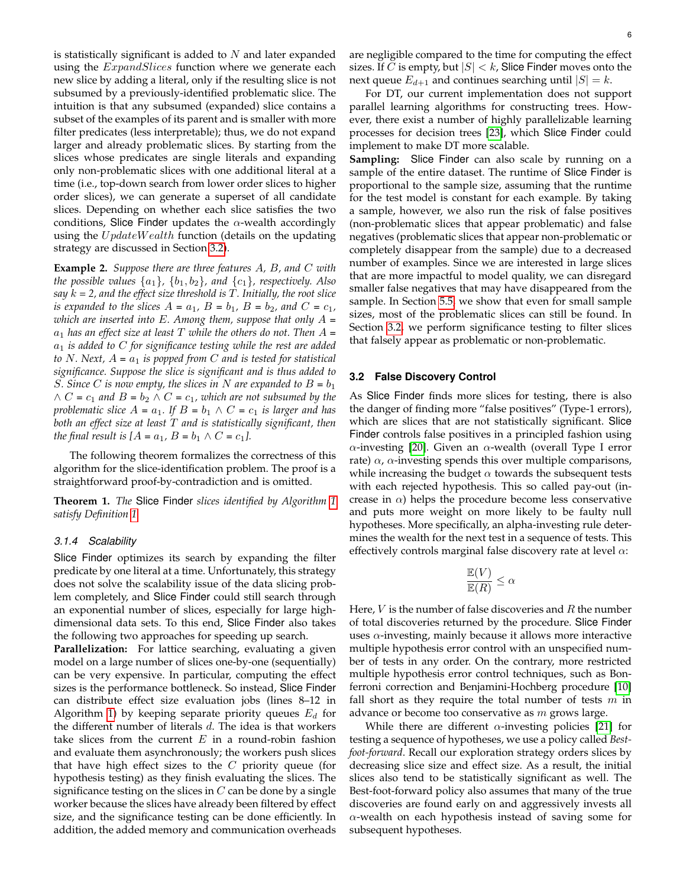is statistically significant is added to  $N$  and later expanded using the *ExpandSlices* function where we generate each new slice by adding a literal, only if the resulting slice is not subsumed by a previously-identified problematic slice. The intuition is that any subsumed (expanded) slice contains a subset of the examples of its parent and is smaller with more filter predicates (less interpretable); thus, we do not expand larger and already problematic slices. By starting from the slices whose predicates are single literals and expanding only non-problematic slices with one additional literal at a time (i.e., top-down search from lower order slices to higher order slices), we can generate a superset of all candidate slices. Depending on whether each slice satisfies the two conditions, Slice Finder updates the  $\alpha$ -wealth accordingly using the  $UpdateWeather$  function (details on the updating strategy are discussed in Section [3.2\)](#page-5-0).

**Example 2.** *Suppose there are three features* A*,* B*, and* C *with the possible values*  $\{a_1\}$ ,  $\{b_1, b_2\}$ , and  $\{c_1\}$ , respectively. Also *say* k *= 2, and the effect size threshold is* T*. Initially, the root slice is expanded to the slices*  $A = a_1$ ,  $B = b_1$ ,  $B = b_2$ , and  $C = c_1$ , *which are inserted into* E*. Among them, suppose that only* A =  $a_1$  *has an effect size at least* T *while the others do not. Then*  $A =$ a<sup>1</sup> *is added to* C *for significance testing while the rest are added to*  $N$ *. Next,*  $A = a_1$  *is popped from*  $C$  *and is tested for statistical significance. Suppose the slice is significant and is thus added to S*. Since *C* is now empty, the slices in *N* are expanded to  $B = b_1$  $∧$   $C = c<sub>1</sub>$  *and*  $B = b<sub>2</sub> ∧ C = c<sub>1</sub>$ *, which are not subsumed by the problematic slice*  $A = a_1$ . If  $B = b_1 \wedge C = c_1$  *is larger and has both an effect size at least* T *and is statistically significant, then the final result is*  $[A = a_1, B = b_1 \wedge C = c_1].$ 

The following theorem formalizes the correctness of this algorithm for the slice-identification problem. The proof is a straightforward proof-by-contradiction and is omitted.

**Theorem 1.** *The* Slice Finder *slices identified by Algorithm [1](#page-4-2) satisfy Definition [1.](#page-3-3)*

#### *3.1.4 Scalability*

Slice Finder optimizes its search by expanding the filter predicate by one literal at a time. Unfortunately, this strategy does not solve the scalability issue of the data slicing problem completely, and Slice Finder could still search through an exponential number of slices, especially for large highdimensional data sets. To this end, Slice Finder also takes the following two approaches for speeding up search.

**Parallelization:** For lattice searching, evaluating a given model on a large number of slices one-by-one (sequentially) can be very expensive. In particular, computing the effect sizes is the performance bottleneck. So instead, Slice Finder can distribute effect size evaluation jobs (lines 8–12 in Algorithm [1\)](#page-4-2) by keeping separate priority queues  $E_d$  for the different number of literals  $d$ . The idea is that workers take slices from the current  $E$  in a round-robin fashion and evaluate them asynchronously; the workers push slices that have high effect sizes to the  $C$  priority queue (for hypothesis testing) as they finish evaluating the slices. The significance testing on the slices in  $C$  can be done by a single worker because the slices have already been filtered by effect size, and the significance testing can be done efficiently. In addition, the added memory and communication overheads

are negligible compared to the time for computing the effect sizes. If C is empty, but  $|S| < k$ , Slice Finder moves onto the next queue  $E_{d+1}$  and continues searching until  $|S| = k$ .

For DT, our current implementation does not support parallel learning algorithms for constructing trees. However, there exist a number of highly parallelizable learning processes for decision trees [\[23\]](#page-11-21), which Slice Finder could implement to make DT more scalable.

**Sampling:** Slice Finder can also scale by running on a sample of the entire dataset. The runtime of Slice Finder is proportional to the sample size, assuming that the runtime for the test model is constant for each example. By taking a sample, however, we also run the risk of false positives (non-problematic slices that appear problematic) and false negatives (problematic slices that appear non-problematic or completely disappear from the sample) due to a decreased number of examples. Since we are interested in large slices that are more impactful to model quality, we can disregard smaller false negatives that may have disappeared from the sample. In Section [5.5,](#page-8-0) we show that even for small sample sizes, most of the problematic slices can still be found. In Section [3.2,](#page-5-0) we perform significance testing to filter slices that falsely appear as problematic or non-problematic.

#### <span id="page-5-0"></span>**3.2 False Discovery Control**

As Slice Finder finds more slices for testing, there is also the danger of finding more "false positives" (Type-1 errors), which are slices that are not statistically significant. Slice Finder controls false positives in a principled fashion using  $\alpha$ -investing [\[20\]](#page-11-18). Given an  $\alpha$ -wealth (overall Type I error rate)  $\alpha$ ,  $\alpha$ -investing spends this over multiple comparisons, while increasing the budget  $\alpha$  towards the subsequent tests with each rejected hypothesis. This so called pay-out (increase in  $\alpha$ ) helps the procedure become less conservative and puts more weight on more likely to be faulty null hypotheses. More specifically, an alpha-investing rule determines the wealth for the next test in a sequence of tests. This effectively controls marginal false discovery rate at level  $\alpha$ :

$$
\frac{\mathbb{E}(V)}{\mathbb{E}(R)} \le \alpha
$$

Here,  $V$  is the number of false discoveries and  $R$  the number of total discoveries returned by the procedure. Slice Finder uses  $\alpha$ -investing, mainly because it allows more interactive multiple hypothesis error control with an unspecified number of tests in any order. On the contrary, more restricted multiple hypothesis error control techniques, such as Bonferroni correction and Benjamini-Hochberg procedure [\[10\]](#page-11-8) fall short as they require the total number of tests  $m$  in advance or become too conservative as  $m$  grows large.

While there are different  $\alpha$ -investing policies [\[21\]](#page-11-19) for testing a sequence of hypotheses, we use a policy called *Bestfoot-forward*. Recall our exploration strategy orders slices by decreasing slice size and effect size. As a result, the initial slices also tend to be statistically significant as well. The Best-foot-forward policy also assumes that many of the true discoveries are found early on and aggressively invests all  $\alpha$ -wealth on each hypothesis instead of saving some for subsequent hypotheses.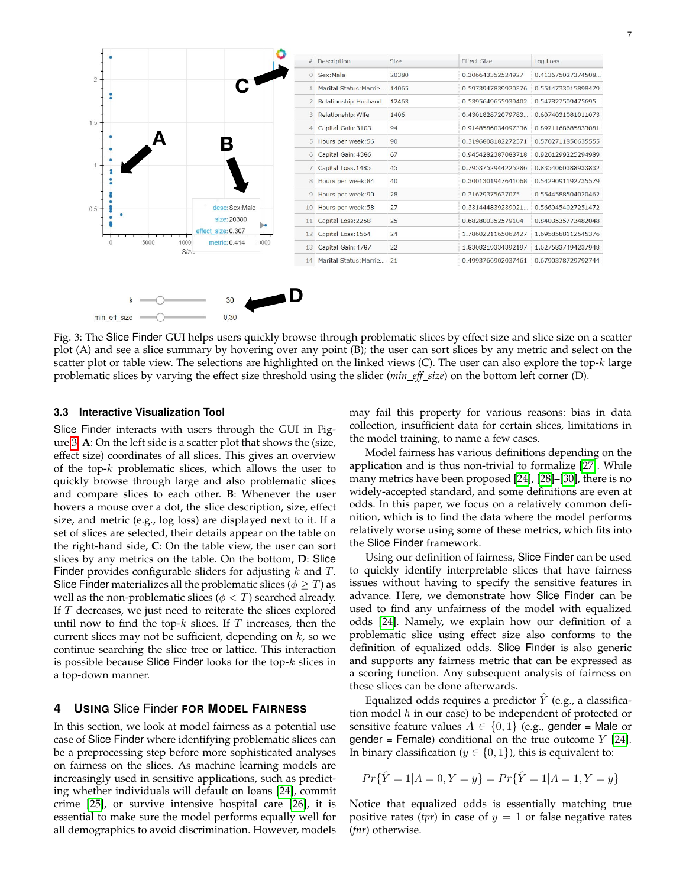<span id="page-6-2"></span>



Fig. 3: The Slice Finder GUI helps users quickly browse through problematic slices by effect size and slice size on a scatter plot (A) and see a slice summary by hovering over any point (B); the user can sort slices by any metric and select on the scatter plot or table view. The selections are highlighted on the linked views  $(C)$ . The user can also explore the top- $k$  large problematic slices by varying the effect size threshold using the slider (*min eff size*) on the bottom left corner (D).

## <span id="page-6-1"></span>**3.3 Interactive Visualization Tool**

Slice Finder interacts with users through the GUI in Figure [3.](#page-6-2) **A**: On the left side is a scatter plot that shows the (size, effect size) coordinates of all slices. This gives an overview of the top- $k$  problematic slices, which allows the user to quickly browse through large and also problematic slices and compare slices to each other. **B**: Whenever the user hovers a mouse over a dot, the slice description, size, effect size, and metric (e.g., log loss) are displayed next to it. If a set of slices are selected, their details appear on the table on the right-hand side, **C**: On the table view, the user can sort slices by any metrics on the table. On the bottom, **D**: Slice Finder provides configurable sliders for adjusting  $k$  and  $T$ . Slice Finder materializes all the problematic slices ( $\phi \geq T$ ) as well as the non-problematic slices ( $\phi < T$ ) searched already. If  $T$  decreases, we just need to reiterate the slices explored until now to find the top- $k$  slices. If  $T$  increases, then the current slices may not be sufficient, depending on  $k$ , so we continue searching the slice tree or lattice. This interaction is possible because Slice Finder looks for the top- $k$  slices in a top-down manner.

# <span id="page-6-0"></span>**4 USING** Slice Finder **FOR MODEL FAIRNESS**

In this section, we look at model fairness as a potential use case of Slice Finder where identifying problematic slices can be a preprocessing step before more sophisticated analyses on fairness on the slices. As machine learning models are increasingly used in sensitive applications, such as predicting whether individuals will default on loans [\[24\]](#page-11-22), commit crime [\[25\]](#page-11-23), or survive intensive hospital care [\[26\]](#page-11-24), it is essential to make sure the model performs equally well for all demographics to avoid discrimination. However, models may fail this property for various reasons: bias in data collection, insufficient data for certain slices, limitations in the model training, to name a few cases.

Model fairness has various definitions depending on the application and is thus non-trivial to formalize [\[27\]](#page-11-25). While many metrics have been proposed [\[24\]](#page-11-22), [\[28\]](#page-11-26)–[\[30\]](#page-11-27), there is no widely-accepted standard, and some definitions are even at odds. In this paper, we focus on a relatively common definition, which is to find the data where the model performs relatively worse using some of these metrics, which fits into the Slice Finder framework.

Using our definition of fairness, Slice Finder can be used to quickly identify interpretable slices that have fairness issues without having to specify the sensitive features in advance. Here, we demonstrate how Slice Finder can be used to find any unfairness of the model with equalized odds [\[24\]](#page-11-22). Namely, we explain how our definition of a problematic slice using effect size also conforms to the definition of equalized odds. Slice Finder is also generic and supports any fairness metric that can be expressed as a scoring function. Any subsequent analysis of fairness on these slices can be done afterwards.

Equalized odds requires a predictor  $\hat{Y}$  (e.g., a classification model  $h$  in our case) to be independent of protected or sensitive feature values  $A \in \{0,1\}$  (e.g., gender = Male or gender = Female) conditional on the true outcome  $Y$  [\[24\]](#page-11-22). In binary classification ( $y \in \{0, 1\}$ ), this is equivalent to:

$$
Pr{\hat{Y} = 1 | A = 0, Y = y} = Pr{\hat{Y} = 1 | A = 1, Y = y}
$$

Notice that equalized odds is essentially matching true positive rates (*tpr*) in case of  $y = 1$  or false negative rates (*fnr*) otherwise.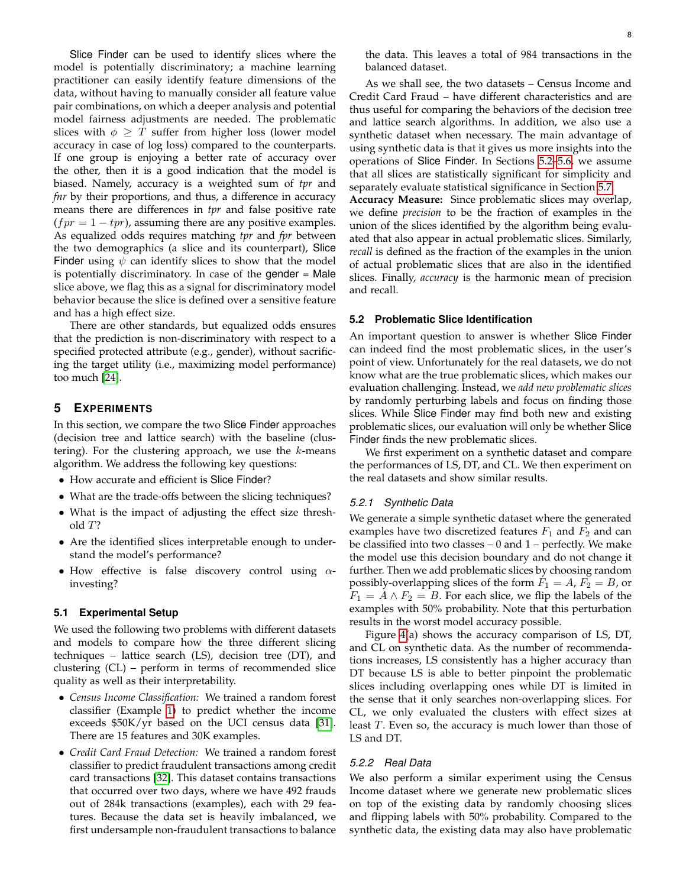Slice Finder can be used to identify slices where the model is potentially discriminatory; a machine learning practitioner can easily identify feature dimensions of the data, without having to manually consider all feature value pair combinations, on which a deeper analysis and potential model fairness adjustments are needed. The problematic slices with  $\phi \geq T$  suffer from higher loss (lower model accuracy in case of log loss) compared to the counterparts. If one group is enjoying a better rate of accuracy over the other, then it is a good indication that the model is biased. Namely, accuracy is a weighted sum of *tpr* and *fnr* by their proportions, and thus, a difference in accuracy means there are differences in *tpr* and false positive rate  $(fpr = 1 - tpr)$ , assuming there are any positive examples. As equalized odds requires matching *tpr* and *fpr* between the two demographics (a slice and its counterpart), Slice Finder using  $\psi$  can identify slices to show that the model is potentially discriminatory. In case of the gender = Male slice above, we flag this as a signal for discriminatory model behavior because the slice is defined over a sensitive feature and has a high effect size.

There are other standards, but equalized odds ensures that the prediction is non-discriminatory with respect to a specified protected attribute (e.g., gender), without sacrificing the target utility (i.e., maximizing model performance) too much [\[24\]](#page-11-22).

## <span id="page-7-0"></span>**5 EXPERIMENTS**

In this section, we compare the two Slice Finder approaches (decision tree and lattice search) with the baseline (clustering). For the clustering approach, we use the  $k$ -means algorithm. We address the following key questions:

- How accurate and efficient is Slice Finder?
- What are the trade-offs between the slicing techniques?
- What is the impact of adjusting the effect size threshold T?
- Are the identified slices interpretable enough to understand the model's performance?
- How effective is false discovery control using  $\alpha$ investing?

#### **5.1 Experimental Setup**

We used the following two problems with different datasets and models to compare how the three different slicing techniques – lattice search (LS), decision tree (DT), and clustering (CL) – perform in terms of recommended slice quality as well as their interpretability.

- *Census Income Classification:* We trained a random forest classifier (Example [1\)](#page-0-1) to predict whether the income exceeds \$50K/yr based on the UCI census data [\[31\]](#page-12-0). There are 15 features and 30K examples.
- *Credit Card Fraud Detection:* We trained a random forest classifier to predict fraudulent transactions among credit card transactions [\[32\]](#page-12-1). This dataset contains transactions that occurred over two days, where we have 492 frauds out of 284k transactions (examples), each with 29 features. Because the data set is heavily imbalanced, we first undersample non-fraudulent transactions to balance

As we shall see, the two datasets – Census Income and Credit Card Fraud – have different characteristics and are thus useful for comparing the behaviors of the decision tree and lattice search algorithms. In addition, we also use a synthetic dataset when necessary. The main advantage of using synthetic data is that it gives us more insights into the operations of Slice Finder. In Sections [5.2](#page-7-1)[–5.6,](#page-9-0) we assume that all slices are statistically significant for simplicity and separately evaluate statistical significance in Section [5.7.](#page-9-1)

**Accuracy Measure:** Since problematic slices may overlap, we define *precision* to be the fraction of examples in the union of the slices identified by the algorithm being evaluated that also appear in actual problematic slices. Similarly, *recall* is defined as the fraction of the examples in the union of actual problematic slices that are also in the identified slices. Finally, *accuracy* is the harmonic mean of precision and recall.

# <span id="page-7-1"></span>**5.2 Problematic Slice Identification**

An important question to answer is whether Slice Finder can indeed find the most problematic slices, in the user's point of view. Unfortunately for the real datasets, we do not know what are the true problematic slices, which makes our evaluation challenging. Instead, we *add new problematic slices* by randomly perturbing labels and focus on finding those slices. While Slice Finder may find both new and existing problematic slices, our evaluation will only be whether Slice Finder finds the new problematic slices.

We first experiment on a synthetic dataset and compare the performances of LS, DT, and CL. We then experiment on the real datasets and show similar results.

#### *5.2.1 Synthetic Data*

We generate a simple synthetic dataset where the generated examples have two discretized features  $F_1$  and  $F_2$  and can be classified into two classes  $-0$  and  $1$  – perfectly. We make the model use this decision boundary and do not change it further. Then we add problematic slices by choosing random possibly-overlapping slices of the form  $F_1 = A$ ,  $F_2 = B$ , or  $F_1 = A \wedge F_2 = B$ . For each slice, we flip the labels of the examples with 50% probability. Note that this perturbation results in the worst model accuracy possible.

Figure [4\(](#page-8-1)a) shows the accuracy comparison of LS, DT, and CL on synthetic data. As the number of recommendations increases, LS consistently has a higher accuracy than DT because LS is able to better pinpoint the problematic slices including overlapping ones while DT is limited in the sense that it only searches non-overlapping slices. For CL, we only evaluated the clusters with effect sizes at least  $T$ . Even so, the accuracy is much lower than those of LS and DT.

## *5.2.2 Real Data*

We also perform a similar experiment using the Census Income dataset where we generate new problematic slices on top of the existing data by randomly choosing slices and flipping labels with 50% probability. Compared to the synthetic data, the existing data may also have problematic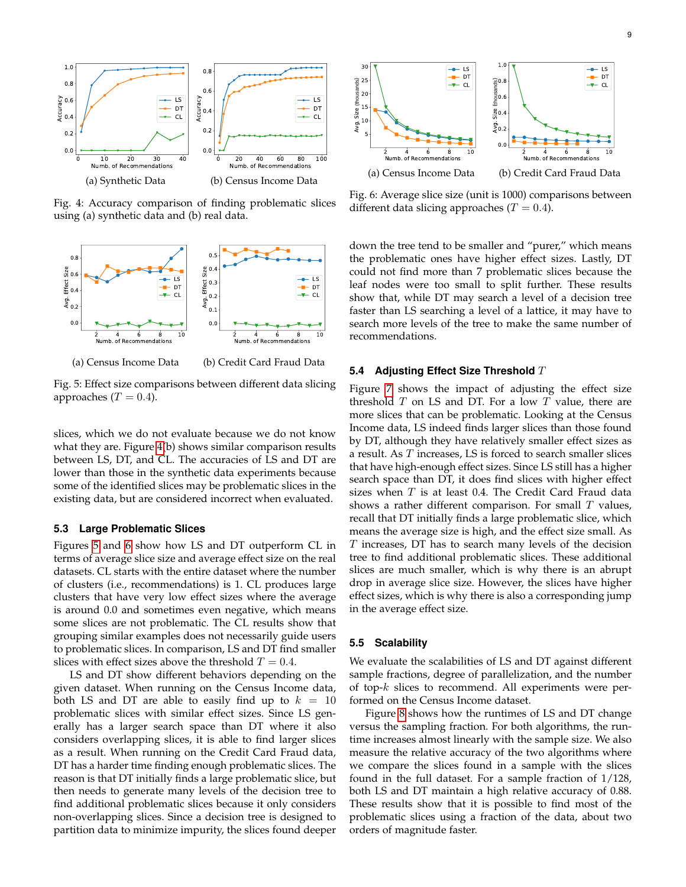<span id="page-8-1"></span>

Fig. 4: Accuracy comparison of finding problematic slices using (a) synthetic data and (b) real data.

<span id="page-8-2"></span>

Fig. 5: Effect size comparisons between different data slicing approaches  $(T = 0.4)$ .

slices, which we do not evaluate because we do not know what they are. Figure [4\(](#page-8-1)b) shows similar comparison results between LS, DT, and CL. The accuracies of LS and DT are lower than those in the synthetic data experiments because some of the identified slices may be problematic slices in the existing data, but are considered incorrect when evaluated.

## **5.3 Large Problematic Slices**

Figures [5](#page-8-2) and [6](#page-8-3) show how LS and DT outperform CL in terms of average slice size and average effect size on the real datasets. CL starts with the entire dataset where the number of clusters (i.e., recommendations) is 1. CL produces large clusters that have very low effect sizes where the average is around 0.0 and sometimes even negative, which means some slices are not problematic. The CL results show that grouping similar examples does not necessarily guide users to problematic slices. In comparison, LS and DT find smaller slices with effect sizes above the threshold  $T = 0.4$ .

LS and DT show different behaviors depending on the given dataset. When running on the Census Income data, both LS and DT are able to easily find up to  $k = 10$ problematic slices with similar effect sizes. Since LS generally has a larger search space than DT where it also considers overlapping slices, it is able to find larger slices as a result. When running on the Credit Card Fraud data, DT has a harder time finding enough problematic slices. The reason is that DT initially finds a large problematic slice, but then needs to generate many levels of the decision tree to find additional problematic slices because it only considers non-overlapping slices. Since a decision tree is designed to partition data to minimize impurity, the slices found deeper

<span id="page-8-3"></span>

Fig. 6: Average slice size (unit is 1000) comparisons between different data slicing approaches  $(T = 0.4)$ .

down the tree tend to be smaller and "purer," which means the problematic ones have higher effect sizes. Lastly, DT could not find more than 7 problematic slices because the leaf nodes were too small to split further. These results show that, while DT may search a level of a decision tree faster than LS searching a level of a lattice, it may have to search more levels of the tree to make the same number of recommendations.

## **5.4 Adjusting Effect Size Threshold** T

Figure [7](#page-9-2) shows the impact of adjusting the effect size threshold  $T$  on LS and DT. For a low  $T$  value, there are more slices that can be problematic. Looking at the Census Income data, LS indeed finds larger slices than those found by DT, although they have relatively smaller effect sizes as a result. As T increases, LS is forced to search smaller slices that have high-enough effect sizes. Since LS still has a higher search space than DT, it does find slices with higher effect sizes when  $T$  is at least 0.4. The Credit Card Fraud data shows a rather different comparison. For small  $T$  values, recall that DT initially finds a large problematic slice, which means the average size is high, and the effect size small. As  $T$  increases, DT has to search many levels of the decision tree to find additional problematic slices. These additional slices are much smaller, which is why there is an abrupt drop in average slice size. However, the slices have higher effect sizes, which is why there is also a corresponding jump in the average effect size.

#### <span id="page-8-0"></span>**5.5 Scalability**

We evaluate the scalabilities of LS and DT against different sample fractions, degree of parallelization, and the number of top-k slices to recommend. All experiments were performed on the Census Income dataset.

Figure [8](#page-9-3) shows how the runtimes of LS and DT change versus the sampling fraction. For both algorithms, the runtime increases almost linearly with the sample size. We also measure the relative accuracy of the two algorithms where we compare the slices found in a sample with the slices found in the full dataset. For a sample fraction of 1/128, both LS and DT maintain a high relative accuracy of 0.88. These results show that it is possible to find most of the problematic slices using a fraction of the data, about two orders of magnitude faster.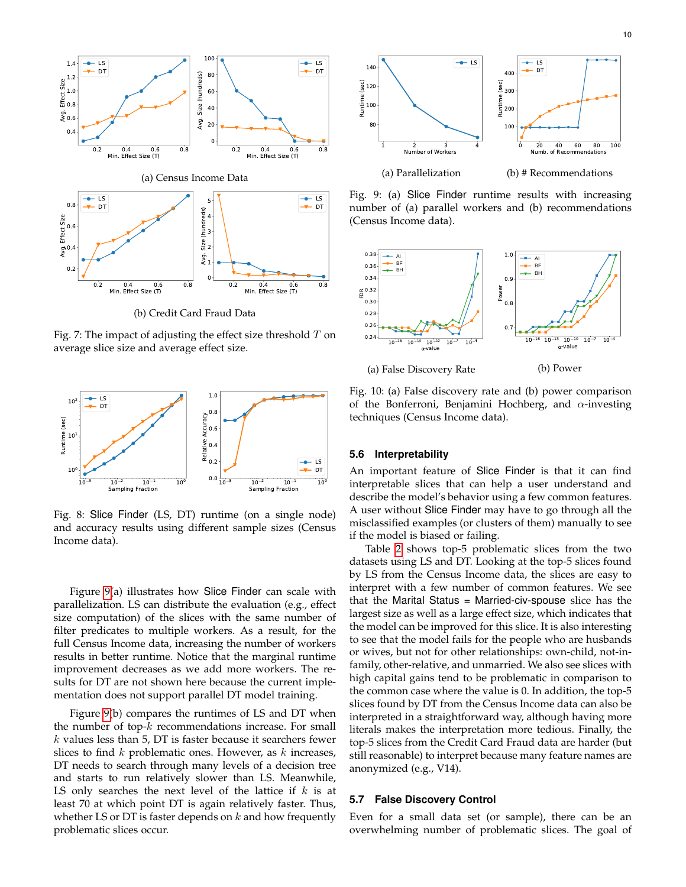<span id="page-9-2"></span>

Fig. 7: The impact of adjusting the effect size threshold  $T$  on average slice size and average effect size.

<span id="page-9-3"></span>

Fig. 8: Slice Finder (LS, DT) runtime (on a single node) and accuracy results using different sample sizes (Census Income data).

Figure [9\(](#page-9-4)a) illustrates how Slice Finder can scale with parallelization. LS can distribute the evaluation (e.g., effect size computation) of the slices with the same number of filter predicates to multiple workers. As a result, for the full Census Income data, increasing the number of workers results in better runtime. Notice that the marginal runtime improvement decreases as we add more workers. The results for DT are not shown here because the current implementation does not support parallel DT model training.

Figure [9\(](#page-9-4)b) compares the runtimes of LS and DT when the number of top- $k$  recommendations increase. For small  $k$  values less than 5, DT is faster because it searchers fewer slices to find  $k$  problematic ones. However, as  $k$  increases, DT needs to search through many levels of a decision tree and starts to run relatively slower than LS. Meanwhile, LS only searches the next level of the lattice if  $k$  is at least 70 at which point DT is again relatively faster. Thus, whether LS or DT is faster depends on  $k$  and how frequently

<span id="page-9-4"></span>

Fig. 9: (a) Slice Finder runtime results with increasing number of (a) parallel workers and (b) recommendations (Census Income data).

<span id="page-9-5"></span>

Fig. 10: (a) False discovery rate and (b) power comparison of the Bonferroni, Benjamini Hochberg, and  $\alpha$ -investing techniques (Census Income data).

## <span id="page-9-0"></span>**5.6 Interpretability**

An important feature of Slice Finder is that it can find interpretable slices that can help a user understand and describe the model's behavior using a few common features. A user without Slice Finder may have to go through all the misclassified examples (or clusters of them) manually to see if the model is biased or failing.

Table [2](#page-10-0) shows top-5 problematic slices from the two datasets using LS and DT. Looking at the top-5 slices found by LS from the Census Income data, the slices are easy to interpret with a few number of common features. We see that the Marital Status = Married-civ-spouse slice has the largest size as well as a large effect size, which indicates that the model can be improved for this slice. It is also interesting to see that the model fails for the people who are husbands or wives, but not for other relationships: own-child, not-infamily, other-relative, and unmarried. We also see slices with high capital gains tend to be problematic in comparison to the common case where the value is 0. In addition, the top-5 slices found by DT from the Census Income data can also be interpreted in a straightforward way, although having more literals makes the interpretation more tedious. Finally, the top-5 slices from the Credit Card Fraud data are harder (but still reasonable) to interpret because many feature names are anonymized (e.g., V14).

## <span id="page-9-1"></span>**5.7 False Discovery Control**

Even for a small data set (or sample), there can be an overwhelming number of problematic slices. The goal of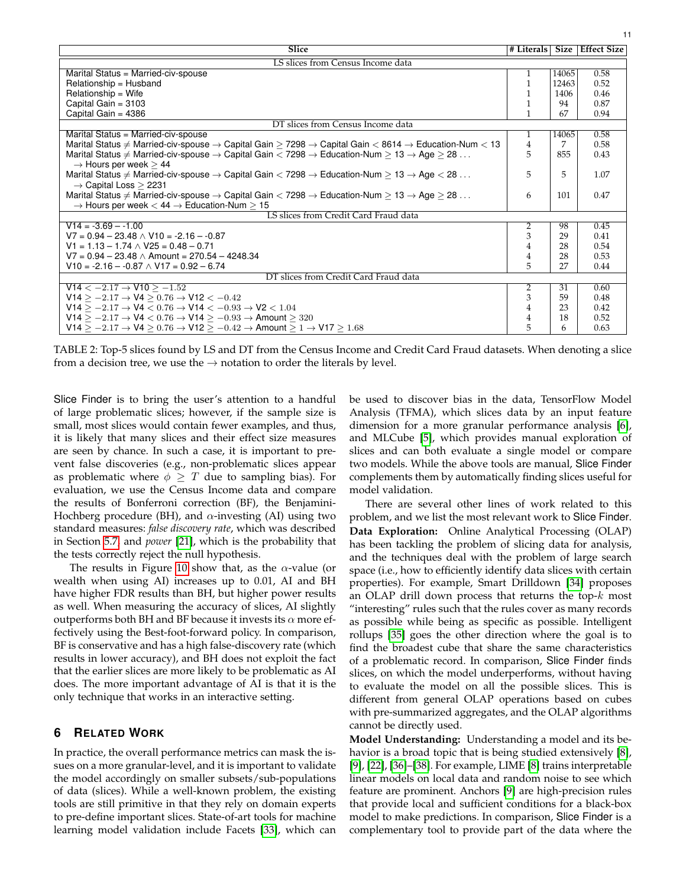<span id="page-10-0"></span>

| <b>Slice</b>                                                                                                                                  |                |       | # Literals Size   Effect Size |  |  |  |  |
|-----------------------------------------------------------------------------------------------------------------------------------------------|----------------|-------|-------------------------------|--|--|--|--|
| LS slices from Census Income data                                                                                                             |                |       |                               |  |  |  |  |
| Marital Status = Married-civ-spouse                                                                                                           |                | 14065 | 0.58                          |  |  |  |  |
| Relationship = Husband                                                                                                                        |                | 12463 | 0.52                          |  |  |  |  |
| Relationship = Wife                                                                                                                           |                | 1406  | 0.46                          |  |  |  |  |
| Capital Gain = 3103                                                                                                                           |                | 94    | 0.87                          |  |  |  |  |
| Capital Gain = 4386                                                                                                                           | $\mathbf{1}$   | 67    | 0.94                          |  |  |  |  |
| DT slices from Census Income data                                                                                                             |                |       |                               |  |  |  |  |
| Marital Status = Married-civ-spouse                                                                                                           |                | 14065 | 0.58                          |  |  |  |  |
| Marital Status $\neq$ Married-civ-spouse $\rightarrow$ Capital Gain > 7298 $\rightarrow$ Capital Gain < 8614 $\rightarrow$ Education-Num < 13 | $\overline{4}$ | 7     | 0.58                          |  |  |  |  |
| Marital Status $\neq$ Married-civ-spouse $\rightarrow$ Capital Gain $<$ 7298 $\rightarrow$ Education-Num $>$ 13 $\rightarrow$ Age $>$ 28      | 5              | 855   | 0.43                          |  |  |  |  |
| $\rightarrow$ Hours per week $>$ 44                                                                                                           |                |       |                               |  |  |  |  |
| Marital Status $\neq$ Married-civ-spouse $\rightarrow$ Capital Gain $<$ 7298 $\rightarrow$ Education-Num $>$ 13 $\rightarrow$ Age $<$ 28      | 5              | 5     | 1.07                          |  |  |  |  |
| $\rightarrow$ Capital Loss > 2231                                                                                                             |                |       |                               |  |  |  |  |
| Marital Status $\neq$ Married-civ-spouse $\rightarrow$ Capital Gain $<$ 7298 $\rightarrow$ Education-Num $>$ 13 $\rightarrow$ Age $>$ 28      | 6              | 101   | 0.47                          |  |  |  |  |
| $\rightarrow$ Hours per week $<$ 44 $\rightarrow$ Education-Num $\geq$ 15                                                                     |                |       |                               |  |  |  |  |
| LS slices from Credit Card Fraud data                                                                                                         |                |       |                               |  |  |  |  |
| $V14 = -3.69 - -1.00$                                                                                                                         | $\overline{2}$ | 98    | 0.45                          |  |  |  |  |
| $V7 = 0.94 - 23.48 \wedge V10 = -2.16 - -0.87$                                                                                                | 3              | 29    | 0.41                          |  |  |  |  |
| $V1 = 1.13 - 1.74 \wedge V25 = 0.48 - 0.71$                                                                                                   | $\overline{4}$ | 28    | 0.54                          |  |  |  |  |
| $V7 = 0.94 - 23.48 \wedge$ Amount = 270.54 - 4248.34                                                                                          | $\overline{4}$ | 28    | 0.53                          |  |  |  |  |
| $V10 = -2.16 - -0.87 \wedge V17 = 0.92 - 6.74$                                                                                                | 5              | 27    | 0.44                          |  |  |  |  |
| DT slices from Credit Card Fraud data                                                                                                         |                |       |                               |  |  |  |  |
| $V14 < -2.17 \rightarrow V10 > -1.52$                                                                                                         | 2              | 31    | 0.60                          |  |  |  |  |
| $V14 > -2.17 \rightarrow V4 > 0.76 \rightarrow V12 < -0.42$                                                                                   | 3              | 59    | 0.48                          |  |  |  |  |
| $V14 > -2.17 \rightarrow V4 < 0.76 \rightarrow V14 < -0.93 \rightarrow V2 < 1.04$                                                             | $\overline{4}$ | 23    | 0.42                          |  |  |  |  |
| V14 $\ge$ $-2.17 \rightarrow$ V4 $<$ 0.76 $\rightarrow$ V14 $\ge$ $-0.93 \rightarrow$ Amount $\ge$ 320                                        | $\overline{4}$ | 18    | 0.52                          |  |  |  |  |
| $V14 > -2.17 \rightarrow V4 > 0.76 \rightarrow V12 > -0.42 \rightarrow$ Amount $> 1 \rightarrow V17 > 1.68$                                   | 5              | 6     | 0.63                          |  |  |  |  |

TABLE 2: Top-5 slices found by LS and DT from the Census Income and Credit Card Fraud datasets. When denoting a slice from a decision tree, we use the  $\rightarrow$  notation to order the literals by level.

Slice Finder is to bring the user's attention to a handful of large problematic slices; however, if the sample size is small, most slices would contain fewer examples, and thus, it is likely that many slices and their effect size measures are seen by chance. In such a case, it is important to prevent false discoveries (e.g., non-problematic slices appear as problematic where  $\phi \geq T$  due to sampling bias). For evaluation, we use the Census Income data and compare the results of Bonferroni correction (BF), the Benjamini-Hochberg procedure (BH), and  $\alpha$ -investing (AI) using two standard measures: *false discovery rate*, which was described in Section [5.7,](#page-9-1) and *power* [\[21\]](#page-11-19), which is the probability that the tests correctly reject the null hypothesis.

The results in Figure [10](#page-9-5) show that, as the  $\alpha$ -value (or wealth when using AI) increases up to 0.01, AI and BH have higher FDR results than BH, but higher power results as well. When measuring the accuracy of slices, AI slightly outperforms both BH and BF because it invests its  $\alpha$  more effectively using the Best-foot-forward policy. In comparison, BF is conservative and has a high false-discovery rate (which results in lower accuracy), and BH does not exploit the fact that the earlier slices are more likely to be problematic as AI does. The more important advantage of AI is that it is the only technique that works in an interactive setting.

# **6 RELATED WORK**

In practice, the overall performance metrics can mask the issues on a more granular-level, and it is important to validate the model accordingly on smaller subsets/sub-populations of data (slices). While a well-known problem, the existing tools are still primitive in that they rely on domain experts to pre-define important slices. State-of-art tools for machine learning model validation include Facets [\[33\]](#page-12-2), which can be used to discover bias in the data, TensorFlow Model Analysis (TFMA), which slices data by an input feature dimension for a more granular performance analysis [\[6\]](#page-11-5), and MLCube [\[5\]](#page-11-4), which provides manual exploration of slices and can both evaluate a single model or compare two models. While the above tools are manual, Slice Finder complements them by automatically finding slices useful for model validation.

There are several other lines of work related to this problem, and we list the most relevant work to Slice Finder. **Data Exploration:** Online Analytical Processing (OLAP) has been tackling the problem of slicing data for analysis, and the techniques deal with the problem of large search space (i.e., how to efficiently identify data slices with certain properties). For example, Smart Drilldown [\[34\]](#page-12-3) proposes an OLAP drill down process that returns the top- $k$  most "interesting" rules such that the rules cover as many records as possible while being as specific as possible. Intelligent rollups [\[35\]](#page-12-4) goes the other direction where the goal is to find the broadest cube that share the same characteristics of a problematic record. In comparison, Slice Finder finds slices, on which the model underperforms, without having to evaluate the model on all the possible slices. This is different from general OLAP operations based on cubes with pre-summarized aggregates, and the OLAP algorithms cannot be directly used.

**Model Understanding:** Understanding a model and its behavior is a broad topic that is being studied extensively [\[8\]](#page-11-28), [\[9\]](#page-11-7), [\[22\]](#page-11-20), [\[36\]](#page-12-5)–[\[38\]](#page-12-6). For example, LIME [\[8\]](#page-11-28) trains interpretable linear models on local data and random noise to see which feature are prominent. Anchors [\[9\]](#page-11-7) are high-precision rules that provide local and sufficient conditions for a black-box model to make predictions. In comparison, Slice Finder is a complementary tool to provide part of the data where the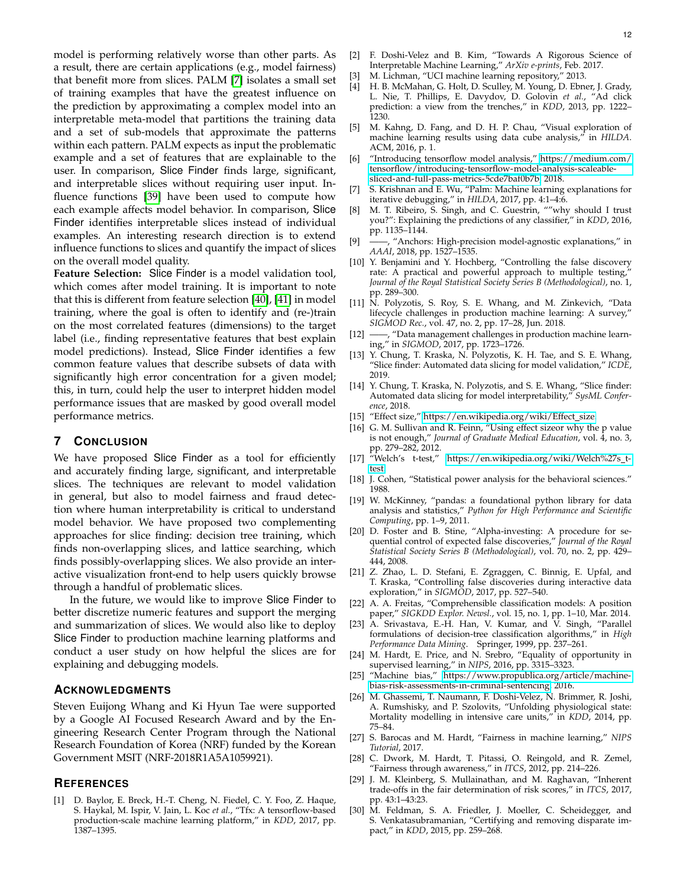model is performing relatively worse than other parts. As a result, there are certain applications (e.g., model fairness) that benefit more from slices. PALM [\[7\]](#page-11-6) isolates a small set of training examples that have the greatest influence on the prediction by approximating a complex model into an interpretable meta-model that partitions the training data and a set of sub-models that approximate the patterns within each pattern. PALM expects as input the problematic example and a set of features that are explainable to the user. In comparison, Slice Finder finds large, significant, and interpretable slices without requiring user input. Influence functions [\[39\]](#page-12-7) have been used to compute how each example affects model behavior. In comparison, Slice Finder identifies interpretable slices instead of individual examples. An interesting research direction is to extend influence functions to slices and quantify the impact of slices on the overall model quality.

**Feature Selection:** Slice Finder is a model validation tool, which comes after model training. It is important to note that this is different from feature selection [\[40\]](#page-12-8), [\[41\]](#page-12-9) in model training, where the goal is often to identify and (re-)train on the most correlated features (dimensions) to the target label (i.e., finding representative features that best explain model predictions). Instead, Slice Finder identifies a few common feature values that describe subsets of data with significantly high error concentration for a given model; this, in turn, could help the user to interpret hidden model performance issues that are masked by good overall model performance metrics.

## **7 CONCLUSION**

We have proposed Slice Finder as a tool for efficiently and accurately finding large, significant, and interpretable slices. The techniques are relevant to model validation in general, but also to model fairness and fraud detection where human interpretability is critical to understand model behavior. We have proposed two complementing approaches for slice finding: decision tree training, which finds non-overlapping slices, and lattice searching, which finds possibly-overlapping slices. We also provide an interactive visualization front-end to help users quickly browse through a handful of problematic slices.

In the future, we would like to improve Slice Finder to better discretize numeric features and support the merging and summarization of slices. We would also like to deploy Slice Finder to production machine learning platforms and conduct a user study on how helpful the slices are for explaining and debugging models.

## **ACKNOWLEDGMENTS**

Steven Euijong Whang and Ki Hyun Tae were supported by a Google AI Focused Research Award and by the Engineering Research Center Program through the National Research Foundation of Korea (NRF) funded by the Korean Government MSIT (NRF-2018R1A5A1059921).

## **REFERENCES**

<span id="page-11-0"></span>[1] D. Baylor, E. Breck, H.-T. Cheng, N. Fiedel, C. Y. Foo, Z. Haque, S. Haykal, M. Ispir, V. Jain, L. Koc *et al.*, "Tfx: A tensorflow-based production-scale machine learning platform," in *KDD*, 2017, pp. 1387–1395.

- <span id="page-11-1"></span>[2] F. Doshi-Velez and B. Kim, "Towards A Rigorous Science of Interpretable Machine Learning," *ArXiv e-prints*, Feb. 2017.
- <span id="page-11-2"></span>[3] M. Lichman, "UCI machine learning repository," 2013.
- <span id="page-11-3"></span>[4] H. B. McMahan, G. Holt, D. Sculley, M. Young, D. Ebner, J. Grady, L. Nie, T. Phillips, E. Davydov, D. Golovin *et al.*, "Ad click prediction: a view from the trenches," in *KDD*, 2013, pp. 1222– 1230.
- <span id="page-11-4"></span>[5] M. Kahng, D. Fang, and D. H. P. Chau, "Visual exploration of machine learning results using data cube analysis," in *HILDA*. ACM, 2016, p. 1.
- <span id="page-11-5"></span>[6] "Introducing tensorflow model analysis," [https://medium.com/](https://medium.com/tensorflow/introducing-tensorflow-model-analysis-scaleable-sliced-and-full-pass-metrics-5cde7baf0b7b) [tensorflow/introducing-tensorflow-model-analysis-scaleable](https://medium.com/tensorflow/introducing-tensorflow-model-analysis-scaleable-sliced-and-full-pass-metrics-5cde7baf0b7b)[sliced-and-full-pass-metrics-5cde7baf0b7b,](https://medium.com/tensorflow/introducing-tensorflow-model-analysis-scaleable-sliced-and-full-pass-metrics-5cde7baf0b7b) 2018.
- <span id="page-11-6"></span>[7] S. Krishnan and E. Wu, "Palm: Machine learning explanations for iterative debugging," in *HILDA*, 2017, pp. 4:1–4:6.
- <span id="page-11-28"></span>[8] M. T. Ribeiro, S. Singh, and C. Guestrin, ""why should I trust you?": Explaining the predictions of any classifier," in *KDD*, 2016, pp. 1135–1144.
- <span id="page-11-7"></span>[9] ——, "Anchors: High-precision model-agnostic explanations," in *AAAI*, 2018, pp. 1527–1535.
- <span id="page-11-8"></span>[10] Y. Benjamini and Y. Hochberg, "Controlling the false discovery rate: A practical and powerful approach to multiple testing, *Journal of the Royal Statistical Society Series B (Methodological)*, no. 1, pp. 289–300.
- <span id="page-11-9"></span>[11] N. Polyzotis, S. Roy, S. E. Whang, and M. Zinkevich, "Data lifecycle challenges in production machine learning: A survey," *SIGMOD Rec.*, vol. 47, no. 2, pp. 17–28, Jun. 2018.
- <span id="page-11-10"></span>[12] ——, "Data management challenges in production machine learning," in *SIGMOD*, 2017, pp. 1723–1726.
- <span id="page-11-11"></span>[13] Y. Chung, T. Kraska, N. Polyzotis, K. H. Tae, and S. E. Whang, "Slice finder: Automated data slicing for model validation," *ICDE*, 2019.
- <span id="page-11-12"></span>[14] Y. Chung, T. Kraska, N. Polyzotis, and S. E. Whang, "Slice finder: Automated data slicing for model interpretability," *SysML Conference*, 2018.
- <span id="page-11-13"></span>[15] "Effect size," [https://en.wikipedia.org/wiki/Effect](https://en.wikipedia.org/wiki/Effect_size)\_size.
- <span id="page-11-14"></span>[16] G. M. Sullivan and R. Feinn, "Using effect sizeor why the p value is not enough," *Journal of Graduate Medical Education*, vol. 4, no. 3, pp. 279–282, 2012.
- <span id="page-11-15"></span>[17] "Welch's t-test," [https://en.wikipedia.org/wiki/Welch%27s](https://en.wikipedia.org/wiki/Welch%27s_t-test) t[test.](https://en.wikipedia.org/wiki/Welch%27s_t-test)
- <span id="page-11-16"></span>[18] J. Cohen, "Statistical power analysis for the behavioral sciences." 1988.
- <span id="page-11-17"></span>[19] W. McKinney, "pandas: a foundational python library for data analysis and statistics," *Python for High Performance and Scientific Computing*, pp. 1–9, 2011.
- <span id="page-11-18"></span>[20] D. Foster and B. Stine, "Alpha-investing: A procedure for sequential control of expected false discoveries," *Journal of the Royal Statistical Society Series B (Methodological)*, vol. 70, no. 2, pp. 429– 444, 2008.
- <span id="page-11-19"></span>[21] Z. Zhao, L. D. Stefani, E. Zgraggen, C. Binnig, E. Upfal, and T. Kraska, "Controlling false discoveries during interactive data exploration," in *SIGMOD*, 2017, pp. 527–540.
- <span id="page-11-20"></span>[22] A. A. Freitas, "Comprehensible classification models: A position paper," *SIGKDD Explor. Newsl.*, vol. 15, no. 1, pp. 1–10, Mar. 2014.
- <span id="page-11-21"></span>[23] A. Srivastava, E.-H. Han, V. Kumar, and V. Singh, "Parallel formulations of decision-tree classification algorithms," in *High* Performance Data Mining. Springer, 1999, pp. 237-261.
- <span id="page-11-22"></span>[24] M. Hardt, E. Price, and N. Srebro, "Equality of opportunity in supervised learning," in *NIPS*, 2016, pp. 3315–3323.
- <span id="page-11-23"></span>[25] "Machine bias," [https://www.propublica.org/article/machine](https://www.propublica.org/article/machine-bias-risk-assessments-in-criminal-sentencing)[bias-risk-assessments-in-criminal-sentencing,](https://www.propublica.org/article/machine-bias-risk-assessments-in-criminal-sentencing) 2016.
- <span id="page-11-24"></span>[26] M. Ghassemi, T. Naumann, F. Doshi-Velez, N. Brimmer, R. Joshi, A. Rumshisky, and P. Szolovits, "Unfolding physiological state: Mortality modelling in intensive care units," in *KDD*, 2014, pp. 75–84.
- <span id="page-11-25"></span>[27] S. Barocas and M. Hardt, "Fairness in machine learning," *NIPS Tutorial*, 2017.
- <span id="page-11-26"></span>[28] C. Dwork, M. Hardt, T. Pitassi, O. Reingold, and R. Zemel, "Fairness through awareness," in *ITCS*, 2012, pp. 214–226.
- [29] J. M. Kleinberg, S. Mullainathan, and M. Raghavan, "Inherent trade-offs in the fair determination of risk scores," in *ITCS*, 2017, pp. 43:1–43:23.
- <span id="page-11-27"></span>[30] M. Feldman, S. A. Friedler, J. Moeller, C. Scheidegger, and S. Venkatasubramanian, "Certifying and removing disparate impact," in *KDD*, 2015, pp. 259–268.